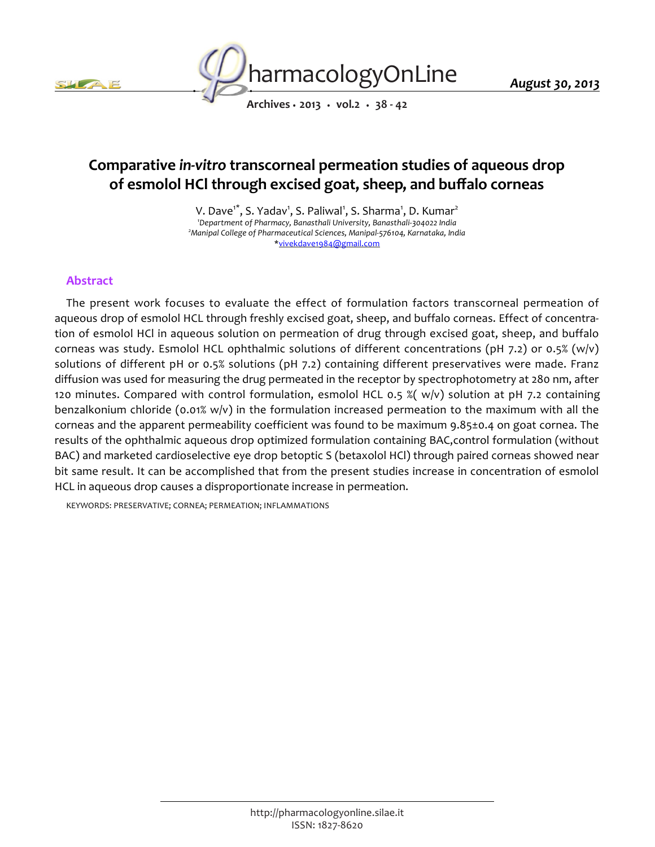



*August 30, 2013*

*Archives • 2013 • vol.2 • 38 - 42*

# *Comparative in-vitro transcorneal permeation studies of aqueous drop of esmolol HCl through excised goat, sheep, and buffalo corneas*

*V. Dave1\*, S. Yadav<sup>1</sup> , S. Paliwal<sup>1</sup> , S. Sharma<sup>1</sup> , D. Kumar<sup>2</sup> <sup>1</sup>Department of Pharmacy, Banasthali University, Banasthali-304022 India <sup>2</sup>Manipal College of Pharmaceutical Sciences, Manipal-576104, Karnataka, India \*vivekdave1984@gmail.com*

## *Abstract*

The present work focuses to evaluate the effect of formulation factors transcorneal permeation of *aqueous drop of esmolol HCL through freshly excised goat, sheep, and buffalo corneas. Effect of concentration of esmolol HCl in aqueous solution on permeation of drug through excised goat, sheep, and buffalo corneas was study. Esmolol HCL ophthalmic solutions of different concentrations (pH 7.2) or 0.5% (w/v) solutions of different pH or 0.5% solutions (pH 7.2) containing different preservatives were made. Franz diffusion was used for measuring the drug permeated in the receptor by spectrophotometry at 280 nm, after 120 minutes. Compared with control formulation, esmolol HCL 0.5 %( w/v) solution at pH 7.2 containing benzalkonium chloride (0.01% w/v) in the formulation increased permeation to the maximum with all the corneas and the apparent permeability coefficient was found to be maximum 9.85±0.4 on goat cornea. The results of the ophthalmic aqueous drop optimized formulation containing BAC,control formulation (without BAC) and marketed cardioselective eye drop betoptic S (betaxolol HCl) through paired corneas showed near bit same result. It can be accomplished that from the present studies increase in concentration of esmolol HCL in aqueous drop causes a disproportionate increase in permeation.*

*KEYWORDS: PRESERVATIVE; CORNEA; PERMEATION; INFLAMMATIONS*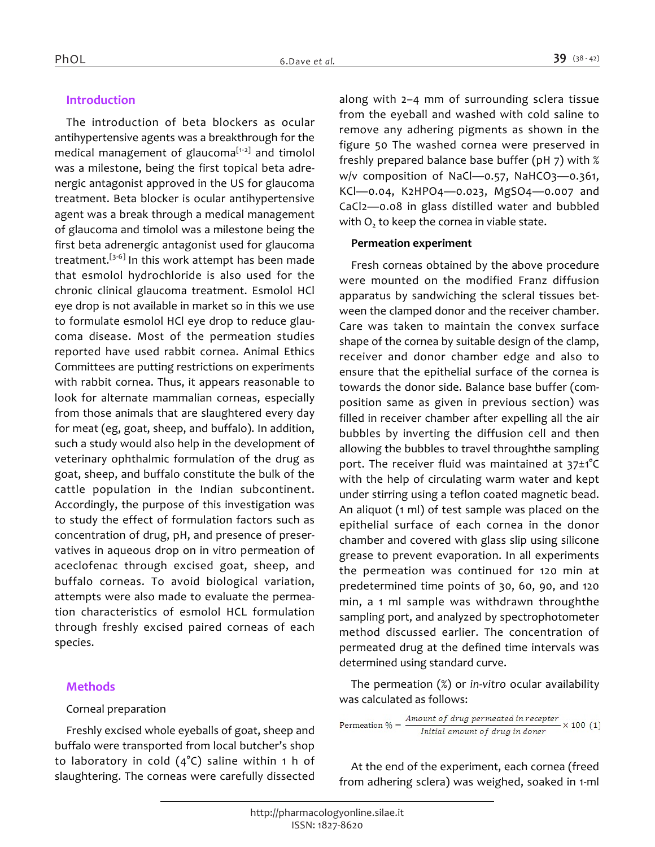#### *Introduction*

*The introduction of beta blockers as ocular antihypertensive agents was a breakthrough for the medical management of glaucoma[1-2] and timolol was a milestone, being the first topical beta adrenergic antagonist approved in the US for glaucoma treatment. Beta blocker is ocular antihypertensive agent was a break through a medical management of glaucoma and timolol was a milestone being the first beta adrenergic antagonist used for glaucoma treatment.[3-6] In this work attempt has been made that esmolol hydrochloride is also used for the chronic clinical glaucoma treatment. Esmolol HCl eye drop is not available in market so in this we use to formulate esmolol HCl eye drop to reduce glaucoma disease. Most of the permeation studies reported have used rabbit cornea. Animal Ethics Committees are putting restrictions on experiments with rabbit cornea. Thus, it appears reasonable to look for alternate mammalian corneas, especially from those animals that are slaughtered every day for meat (eg, goat, sheep, and buffalo). In addition, such a study would also help in the development of veterinary ophthalmic formulation of the drug as goat, sheep, and buffalo constitute the bulk of the cattle population in the Indian subcontinent. Accordingly, the purpose of this investigation was to study the effect of formulation factors such as concentration of drug, pH, and presence of preservatives in aqueous drop on in vitro permeation of aceclofenac through excised goat, sheep, and buffalo corneas. To avoid biological variation, attempts were also made to evaluate the permeation characteristics of esmolol HCL formulation through freshly excised paired corneas of each species.*

#### *Methods*

#### *Corneal preparation*

*Freshly excised whole eyeballs of goat, sheep and buffalo were transported from local butcher's shop to laboratory in cold (4°C) saline within 1 h of slaughtering. The corneas were carefully dissected*  *along with 2–4 mm of surrounding sclera tissue from the eyeball and washed with cold saline to remove any adhering pigments as shown in the figure 50 The washed cornea were preserved in freshly prepared balance base buffer (pH 7) with % w/v composition of NaCl—0.57, NaHCO3—0.361, KCl—0.04, K2HPO4—0.023, MgSO4—0.007 and CaCl2—0.08 in glass distilled water and bubbled with O<sup>2</sup> to keep the cornea in viable state.*

#### *Permeation experiment*

*Fresh corneas obtained by the above procedure were mounted on the modified Franz diffusion apparatus by sandwiching the scleral tissues between the clamped donor and the receiver chamber. Care was taken to maintain the convex surface shape of the cornea by suitable design of the clamp, receiver and donor chamber edge and also to ensure that the epithelial surface of the cornea is towards the donor side. Balance base buffer (composition same as given in previous section) was filled in receiver chamber after expelling all the air bubbles by inverting the diffusion cell and then allowing the bubbles to travel throughthe sampling port. The receiver fluid was maintained at 37±1°C with the help of circulating warm water and kept under stirring using a teflon coated magnetic bead. An aliquot (1 ml) of test sample was placed on the epithelial surface of each cornea in the donor chamber and covered with glass slip using silicone grease to prevent evaporation. In all experiments the permeation was continued for 120 min at predetermined time points of 30, 60, 90, and 120 min, a 1 ml sample was withdrawn throughthe sampling port, and analyzed by spectrophotometer method discussed earlier. The concentration of permeated drug at the defined time intervals was determined using standard curve.*

*The permeation (%) or in-vitro ocular availability was calculated as follows:*

Permeation  $\% = \frac{Amount of drug~permeated~in~receptor}{Initial~amount~of~drug~in~doner} \times 100~(1)$ 

*At the end of the experiment, each cornea (freed from adhering sclera) was weighed, soaked in 1-ml*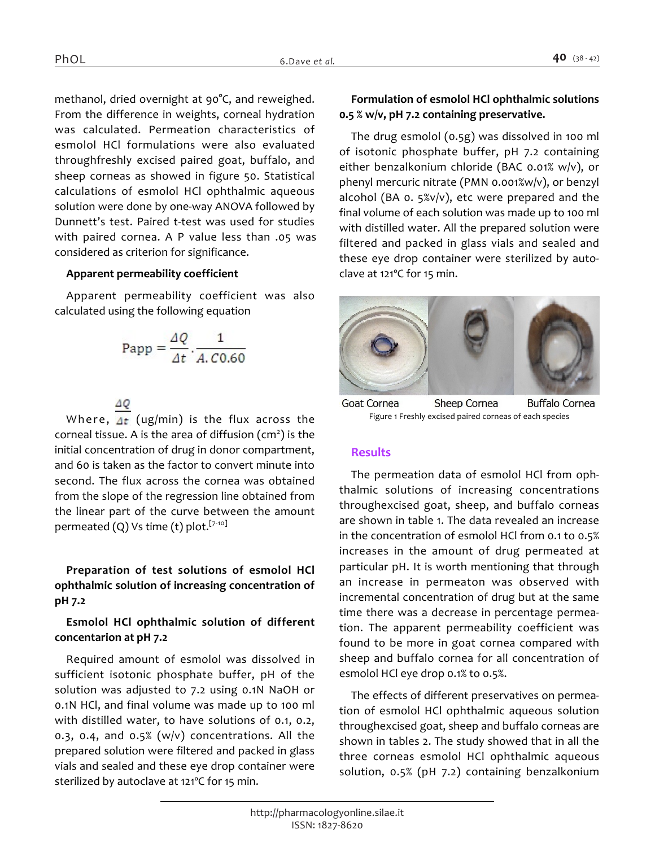*methanol, dried overnight at 90°C, and reweighed. From the difference in weights, corneal hydration was calculated. Permeation characteristics of esmolol HCl formulations were also evaluated throughfreshly excised paired goat, buffalo, and sheep corneas as showed in figure 50. Statistical calculations of esmolol HCl ophthalmic aqueous solution were done by one-way ANOVA followed by Dunnett's test. Paired t-test was used for studies with paired cornea. A P value less than .05 was considered as criterion for significance.*

### *Apparent permeability coefficient*

*Apparent permeability coefficient was also calculated using the following equation*

$$
Papp = \frac{\Delta Q}{\Delta t} \cdot \frac{1}{A. C0.60}
$$

*Where,*  $\Delta t$  *(ug/min) is the flux across the corneal tissue. A is the area of diffusion (cm<sup>2</sup> ) is the initial concentration of drug in donor compartment, and 60 is taken as the factor to convert minute into second. The flux across the cornea was obtained from the slope of the regression line obtained from the linear part of the curve between the amount permeated (Q) Vs time (t) plot.[7-10]*

## *Preparation of test solutions of esmolol HCl ophthalmic solution of increasing concentration of pH 7.2*

# *Esmolol HCl ophthalmic solution of different concentarion at pH 7.2*

*Required amount of esmolol was dissolved in sufficient isotonic phosphate buffer, pH of the solution was adjusted to 7.2 using 0.1N NaOH or 0.1N HCl, and final volume was made up to 100 ml with distilled water, to have solutions of 0.1, 0.2, 0.3, 0.4, and 0.5% (w/v) concentrations. All the prepared solution were filtered and packed in glass vials and sealed and these eye drop container were sterilized by autoclave at 121ºC for 15 min.*

### *Formulation of esmolol HCl ophthalmic solutions 0.5 % w/v, pH 7.2 containing preservative.*

*The drug esmolol (0.5g) was dissolved in 100 ml of isotonic phosphate buffer, pH 7.2 containing either benzalkonium chloride (BAC 0.01% w/v), or phenyl mercuric nitrate (PMN 0.001%w/v), or benzyl alcohol (BA 0. 5%v/v), etc were prepared and the final volume of each solution was made up to 100 ml with distilled water. All the prepared solution were filtered and packed in glass vials and sealed and these eye drop container were sterilized by autoclave at 121ºC for 15 min.*



Goat Cornea **Sheep Cornea Buffalo Cornea** *Figure 1 Freshly excised paired corneas of each species*

## *Results*

*The permeation data of esmolol HCl from ophthalmic solutions of increasing concentrations throughexcised goat, sheep, and buffalo corneas are shown in table 1. The data revealed an increase in the concentration of esmolol HCl from 0.1 to 0.5% increases in the amount of drug permeated at particular pH. It is worth mentioning that through an increase in permeaton was observed with incremental concentration of drug but at the same time there was a decrease in percentage permeation. The apparent permeability coefficient was found to be more in goat cornea compared with sheep and buffalo cornea for all concentration of esmolol HCl eye drop 0.1% to 0.5%.*

*The effects of different preservatives on permeation of esmolol HCl ophthalmic aqueous solution throughexcised goat, sheep and buffalo corneas are shown in tables 2. The study showed that in all the three corneas esmolol HCl ophthalmic aqueous solution, 0.5% (pH 7.2) containing benzalkonium*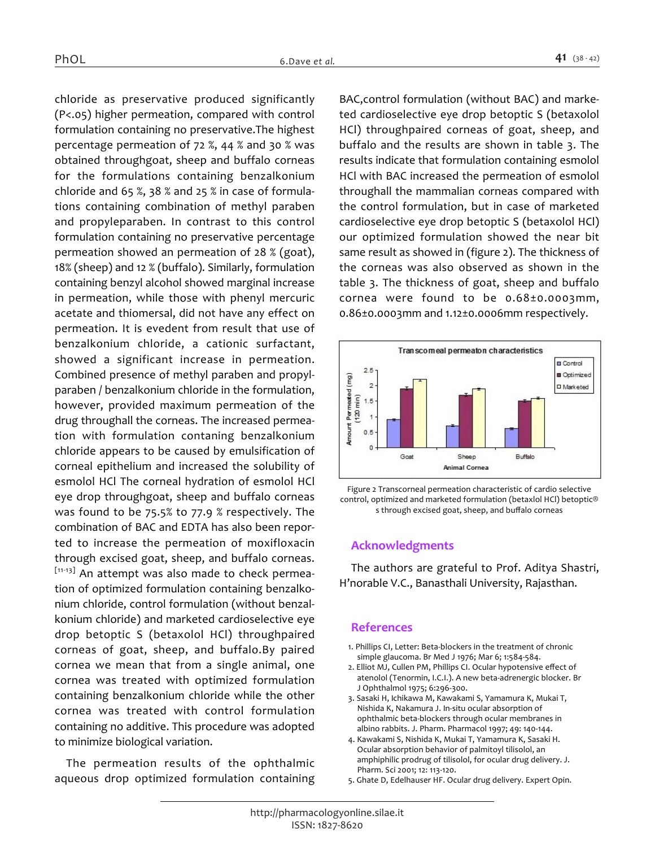*chloride as preservative produced significantly (P<.05) higher permeation, compared with control formulation containing no preservative.The highest percentage permeation of 72 %, 44 % and 30 % was obtained throughgoat, sheep and buffalo corneas for the formulations containing benzalkonium chloride and 65 %, 38 % and 25 % in case of formulations containing combination of methyl paraben and propyleparaben. In contrast to this control formulation containing no preservative percentage permeation showed an permeation of 28 % (goat), 18% (sheep) and 12 % (buffalo). Similarly, formulation containing benzyl alcohol showed marginal increase in permeation, while those with phenyl mercuric acetate and thiomersal, did not have any effect on permeation. It is evedent from result that use of benzalkonium chloride, a cationic surfactant, showed a significant increase in permeation. Combined presence of methyl paraben and propylparaben / benzalkonium chloride in the formulation, however, provided maximum permeation of the drug throughall the corneas. The increased permeation with formulation contaning benzalkonium chloride appears to be caused by emulsification of corneal epithelium and increased the solubility of esmolol HCl The corneal hydration of esmolol HCl eye drop throughgoat, sheep and buffalo corneas was found to be 75.5% to 77.9 % respectively. The combination of BAC and EDTA has also been reported to increase the permeation of moxifloxacin through excised goat, sheep, and buffalo corneas. [11-13] An attempt was also made to check permeation of optimized formulation containing benzalkonium chloride, control formulation (without benzalkonium chloride) and marketed cardioselective eye drop betoptic S (betaxolol HCl) throughpaired corneas of goat, sheep, and buffalo.By paired cornea we mean that from a single animal, one cornea was treated with optimized formulation containing benzalkonium chloride while the other cornea was treated with control formulation containing no additive. This procedure was adopted to minimize biological variation.*

*The permeation results of the ophthalmic aqueous drop optimized formulation containing* 

*BAC,control formulation (without BAC) and marketed cardioselective eye drop betoptic S (betaxolol HCl) throughpaired corneas of goat, sheep, and buffalo and the results are shown in table 3. The results indicate that formulation containing esmolol HCl with BAC increased the permeation of esmolol throughall the mammalian corneas compared with the control formulation, but in case of marketed cardioselective eye drop betoptic S (betaxolol HCl) our optimized formulation showed the near bit same result as showed in (figure 2). The thickness of the corneas was also observed as shown in the table 3. The thickness of goat, sheep and buffalo cornea were found to be 0.68±0.0003mm, 0.86±0.0003mm and 1.12±0.0006mm respectively.*



*Figure 2 Transcorneal permeation characteristic of cardio selective control, optimized and marketed formulation (betaxlol HCl) betoptic® s through excised goat, sheep, and buffalo corneas*

#### *Acknowledgments*

*The authors are grateful to Prof. Aditya Shastri, H'norable V.C., Banasthali University, Rajasthan.*

#### *References*

- *1. Phillips CI, Letter: Beta-blockers in the treatment of chronic simple glaucoma. Br Med J 1976; Mar 6; 1:584-584.*
- *2. Elliot MJ, Cullen PM, Phillips CI. Ocular hypotensive effect of atenolol (Tenormin, I.C.I.). A new beta-adrenergic blocker. Br J Ophthalmol 1975; 6:296-300.*
- *3. Sasaki H, Ichikawa M, Kawakami S, Yamamura K, Mukai T, Nishida K, Nakamura J. In-situ ocular absorption of ophthalmic beta-blockers through ocular membranes in albino rabbits. J. Pharm. Pharmacol 1997; 49: 140-144.*
- *4. Kawakami S, Nishida K, Mukai T, Yamamura K, Sasaki H. Ocular absorption behavior of palmitoyl tilisolol, an amphiphilic prodrug of tilisolol, for ocular drug delivery. J. Pharm. Sci 2001; 12: 113-120.*
- *5. Ghate D, Edelhauser HF. Ocular drug delivery. Expert Opin.*